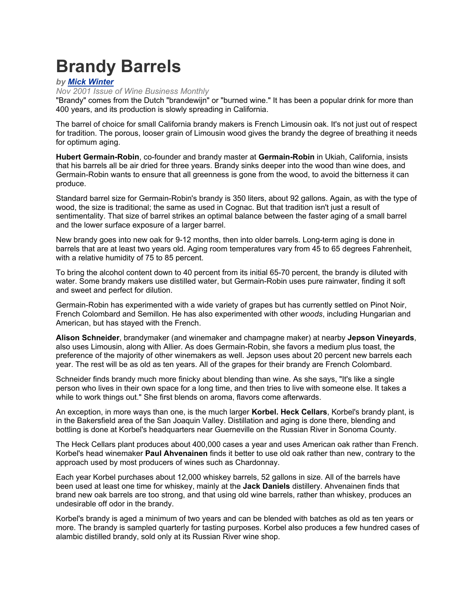# **Brandy Barrels**

### *by Mick Winter*

*Nov 2001 Issue of Wine Business Monthly* 

"Brandy" comes from the Dutch "brandewijn" or "burned wine." It has been a popular drink for more than 400 years, and its production is slowly spreading in California.

The barrel of choice for small California brandy makers is French Limousin oak. It's not just out of respect for tradition. The porous, looser grain of Limousin wood gives the brandy the degree of breathing it needs for optimum aging.

**Hubert Germain-Robin**, co-founder and brandy master at **Germain-Robin** in Ukiah, California, insists that his barrels all be air dried for three years. Brandy sinks deeper into the wood than wine does, and Germain-Robin wants to ensure that all greenness is gone from the wood, to avoid the bitterness it can produce.

Standard barrel size for Germain-Robin's brandy is 350 liters, about 92 gallons. Again, as with the type of wood, the size is traditional; the same as used in Cognac. But that tradition isn't just a result of sentimentality. That size of barrel strikes an optimal balance between the faster aging of a small barrel and the lower surface exposure of a larger barrel.

New brandy goes into new oak for 9-12 months, then into older barrels. Long-term aging is done in barrels that are at least two years old. Aging room temperatures vary from 45 to 65 degrees Fahrenheit, with a relative humidity of 75 to 85 percent.

To bring the alcohol content down to 40 percent from its initial 65-70 percent, the brandy is diluted with water. Some brandy makers use distilled water, but Germain-Robin uses pure rainwater, finding it soft and sweet and perfect for dilution.

Germain-Robin has experimented with a wide variety of grapes but has currently settled on Pinot Noir, French Colombard and Semillon. He has also experimented with other *woods*, including Hungarian and American, but has stayed with the French.

**Alison Schneider**, brandymaker (and winemaker and champagne maker) at nearby **Jepson Vineyards**, also uses Limousin, along with Allier. As does Germain-Robin, she favors a medium plus toast, the preference of the majority of other winemakers as well. Jepson uses about 20 percent new barrels each year. The rest will be as old as ten years. All of the grapes for their brandy are French Colombard.

Schneider finds brandy much more finicky about blending than wine. As she says, "It's like a single person who lives in their own space for a long time, and then tries to live with someone else. It takes a while to work things out." She first blends on aroma, flavors come afterwards.

An exception, in more ways than one, is the much larger **Korbel. Heck Cellars**, Korbel's brandy plant, is in the Bakersfield area of the San Joaquin Valley. Distillation and aging is done there, blending and bottling is done at Korbel's headquarters near Guerneville on the Russian River in Sonoma County.

The Heck Cellars plant produces about 400,000 cases a year and uses American oak rather than French. Korbel's head winemaker **Paul Ahvenainen** finds it better to use old oak rather than new, contrary to the approach used by most producers of wines such as Chardonnay.

Each year Korbel purchases about 12,000 whiskey barrels, 52 gallons in size. All of the barrels have been used at least one time for whiskey, mainly at the **Jack Daniels** distillery. Ahvenainen finds that brand new oak barrels are too strong, and that using old wine barrels, rather than whiskey, produces an undesirable off odor in the brandy.

Korbel's brandy is aged a minimum of two years and can be blended with batches as old as ten years or more. The brandy is sampled quarterly for tasting purposes. Korbel also produces a few hundred cases of alambic distilled brandy, sold only at its Russian River wine shop.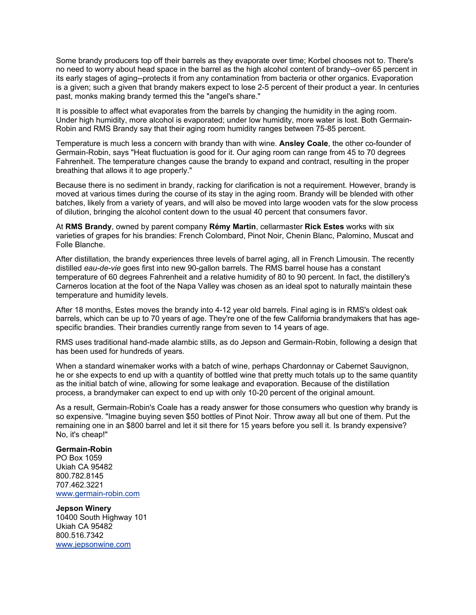Some brandy producers top off their barrels as they evaporate over time; Korbel chooses not to. There's no need to worry about head space in the barrel as the high alcohol content of brandy--over 65 percent in its early stages of aging--protects it from any contamination from bacteria or other organics. Evaporation is a given; such a given that brandy makers expect to lose 2-5 percent of their product a year. In centuries past, monks making brandy termed this the "angel's share."

It is possible to affect what evaporates from the barrels by changing the humidity in the aging room. Under high humidity, more alcohol is evaporated; under low humidity, more water is lost. Both Germain-Robin and RMS Brandy say that their aging room humidity ranges between 75-85 percent.

Temperature is much less a concern with brandy than with wine. **Ansley Coale**, the other co-founder of Germain-Robin, says "Heat fluctuation is good for it. Our aging room can range from 45 to 70 degrees Fahrenheit. The temperature changes cause the brandy to expand and contract, resulting in the proper breathing that allows it to age properly."

Because there is no sediment in brandy, racking for clarification is not a requirement. However, brandy is moved at various times during the course of its stay in the aging room. Brandy will be blended with other batches, likely from a variety of years, and will also be moved into large wooden vats for the slow process of dilution, bringing the alcohol content down to the usual 40 percent that consumers favor.

At **RMS Brandy**, owned by parent company **Rémy Martin**, cellarmaster **Rick Estes** works with six varieties of grapes for his brandies: French Colombard, Pinot Noir, Chenin Blanc, Palomino, Muscat and Folle Blanche.

After distillation, the brandy experiences three levels of barrel aging, all in French Limousin. The recently distilled *eau-de-vie* goes first into new 90-gallon barrels. The RMS barrel house has a constant temperature of 60 degrees Fahrenheit and a relative humidity of 80 to 90 percent. In fact, the distillery's Carneros location at the foot of the Napa Valley was chosen as an ideal spot to naturally maintain these temperature and humidity levels.

After 18 months, Estes moves the brandy into 4-12 year old barrels. Final aging is in RMS's oldest oak barrels, which can be up to 70 years of age. They're one of the few California brandymakers that has agespecific brandies. Their brandies currently range from seven to 14 years of age.

RMS uses traditional hand-made alambic stills, as do Jepson and Germain-Robin, following a design that has been used for hundreds of years.

When a standard winemaker works with a batch of wine, perhaps Chardonnay or Cabernet Sauvignon, he or she expects to end up with a quantity of bottled wine that pretty much totals up to the same quantity as the initial batch of wine, allowing for some leakage and evaporation. Because of the distillation process, a brandymaker can expect to end up with only 10-20 percent of the original amount.

As a result, Germain-Robin's Coale has a ready answer for those consumers who question why brandy is so expensive. "Imagine buying seven \$50 bottles of Pinot Noir. Throw away all but one of them. Put the remaining one in an \$800 barrel and let it sit there for 15 years before you sell it. Is brandy expensive? No, it's cheap!"

#### **Germain-Robin**

PO Box 1059 Ukiah CA 95482 800.782.8145 707.462.3221 www.germain-robin.com

## **Jepson Winery**

10400 South Highway 101 Ukiah CA 95482 800.516.7342 www.jepsonwine.com